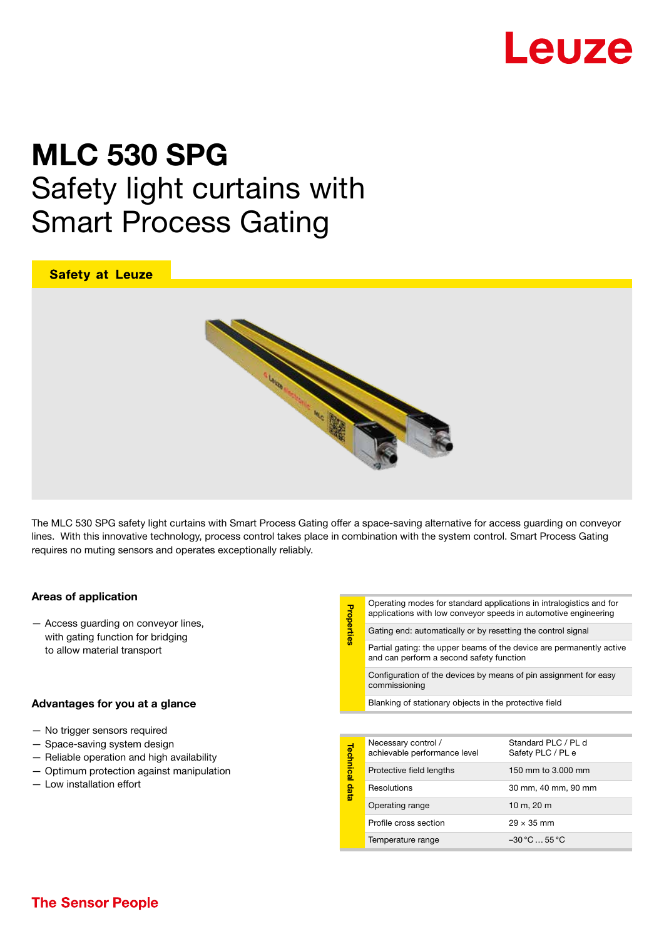# Leuze

## MLC 530 SPG Safety light curtains with Smart Process Gating

**Safety at Leuze** 

The MLC 530 SPG safety light curtains with Smart Process Gating offer a space-saving alternative for access guarding on conveyor lines. With this innovative technology, process control takes place in combination with the system control. Smart Process Gating requires no muting sensors and operates exceptionally reliably.

Properties

## Areas of application

— Access guarding on conveyor lines, with gating function for bridging to allow material transport

## Advantages for you at a glance

- No trigger sensors required
- Space-saving system design
- Reliable operation and high availability
- Optimum protection against manipulation
- Low installation effort

| Properties | Operating modes for standard applications in intralogistics and for<br>applications with low conveyor speeds in automotive engineering |                                          |  |
|------------|----------------------------------------------------------------------------------------------------------------------------------------|------------------------------------------|--|
|            | Gating end: automatically or by resetting the control signal                                                                           |                                          |  |
|            | Partial gating: the upper beams of the device are permanently active<br>and can perform a second safety function                       |                                          |  |
|            | Configuration of the devices by means of pin assignment for easy<br>commissioning                                                      |                                          |  |
|            | Blanking of stationary objects in the protective field                                                                                 |                                          |  |
|            |                                                                                                                                        |                                          |  |
| ಕ          | Necessary control /<br>achievable nerformance level                                                                                    | Standard PLC / PL d<br>ه Safety PLC / PL |  |

| <b>Technical data</b> | <b>Necessary Control</b><br>achievable performance level | Sianuaru PLU / PL u<br>Safety PLC / PL e |
|-----------------------|----------------------------------------------------------|------------------------------------------|
|                       | Protective field lengths                                 | 150 mm to 3,000 mm                       |
|                       | Resolutions                                              | 30 mm, 40 mm, 90 mm                      |
|                       | Operating range                                          | 10 m, 20 m                               |
|                       | Profile cross section                                    | $29 \times 35$ mm                        |
|                       | Temperature range                                        | $-30\degree$ C  55 $\degree$ C           |

## **The Sensor People**